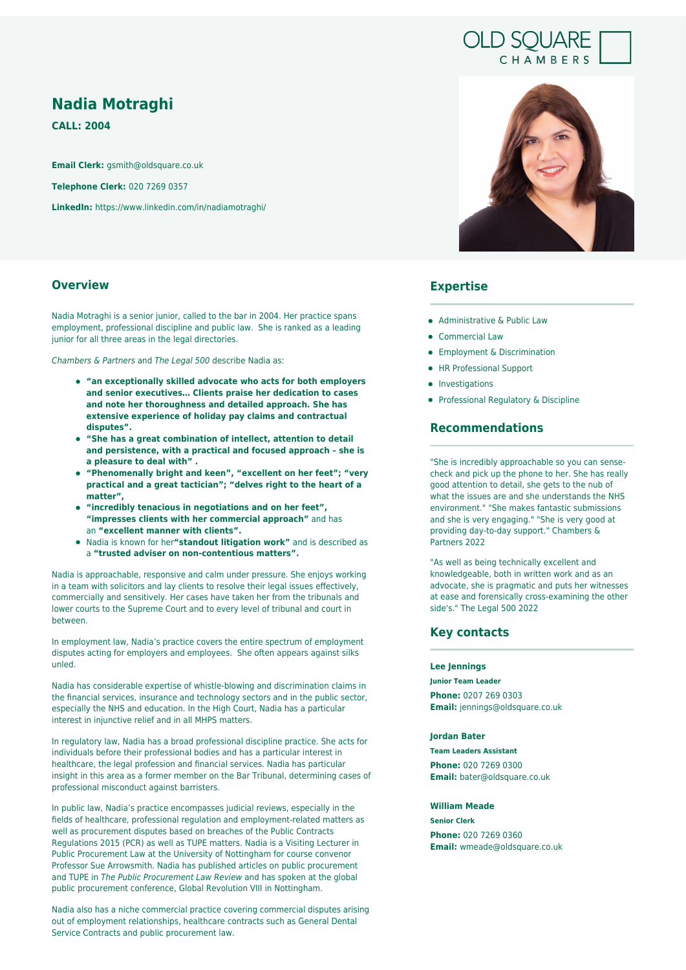# **Nadia Motraghi**

**CALL: 2004**

**Email Clerk:** gsmith@oldsquare.co.uk

**Telephone Clerk:** 020 7269 0357

**LinkedIn:** https://www.linkedin.com/in/nadiamotraghi/

## **Overview**

Nadia Motraghi is a senior junior, called to the bar in 2004. Her practice spans employment, professional discipline and public law. She is ranked as a leading junior for all three areas in the legal directories.

Chambers & Partners and The Legal 500 describe Nadia as:

- **"an exceptionally skilled advocate who acts for both employers and senior executives… Clients praise her dedication to cases and note her thoroughness and detailed approach. She has extensive experience of holiday pay claims and contractual disputes".**
- **"She has a great combination of intellect, attention to detail and persistence, with a practical and focused approach – she is a pleasure to deal with" .**
- **"Phenomenally bright and keen", "excellent on her feet"; "very practical and a great tactician"; "delves right to the heart of a matter",**
- **"incredibly tenacious in negotiations and on her feet", "impresses clients with her commercial approach"** and has an **"excellent manner with clients".**
- Nadia is known for her**"standout litigation work"** and is described as a **"trusted adviser on non-contentious matters".**

Nadia is approachable, responsive and calm under pressure. She enjoys working in a team with solicitors and lay clients to resolve their legal issues effectively, commercially and sensitively. Her cases have taken her from the tribunals and lower courts to the Supreme Court and to every level of tribunal and court in between.

In employment law, Nadia's practice covers the entire spectrum of employment disputes acting for employers and employees. She often appears against silks unled.

Nadia has considerable expertise of whistle-blowing and discrimination claims in the financial services, insurance and technology sectors and in the public sector, especially the NHS and education. In the High Court, Nadia has a particular interest in injunctive relief and in all MHPS matters.

In regulatory law, Nadia has a broad professional discipline practice. She acts for individuals before their professional bodies and has a particular interest in healthcare, the legal profession and financial services. Nadia has particular insight in this area as a former member on the Bar Tribunal, determining cases of professional misconduct against barristers.

In public law, Nadia's practice encompasses judicial reviews, especially in the fields of healthcare, professional regulation and employment-related matters as well as procurement disputes based on breaches of the Public Contracts Regulations 2015 (PCR) as well as TUPE matters. Nadia is a Visiting Lecturer in Public Procurement Law at the University of Nottingham for course convenor Professor Sue Arrowsmith. Nadia has published articles on public procurement and TUPE in The Public Procurement Law Review and has spoken at the global public procurement conference, Global Revolution VIII in Nottingham.

Nadia also has a niche commercial practice covering commercial disputes arising out of employment relationships, healthcare contracts such as General Dental Service Contracts and public procurement law.



**OLD SOUARE** 

# **Expertise**

- Administrative & Public Law
- Commercial Law
- **•** Employment & Discrimination
- HR Professional Support
- Investigations
- Professional Regulatory & Discipline

# **Recommendations**

"She is incredibly approachable so you can sensecheck and pick up the phone to her. She has really good attention to detail, she gets to the nub of what the issues are and she understands the NHS environment." "She makes fantastic submissions and she is very engaging." "She is very good at providing day-to-day support." Chambers & Partners 2022

"As well as being technically excellent and knowledgeable, both in written work and as an advocate, she is pragmatic and puts her witnesses at ease and forensically cross-examining the other side's." The Legal 500 2022

## **Key contacts**

## **Lee Jennings**

**Junior Team Leader Phone:** 0207 269 0303 **Email:** jennings@oldsquare.co.uk

### **Jordan Bater**

**Team Leaders Assistant Phone:** 020 7269 0300 **Email:** bater@oldsquare.co.uk

**William Meade**

**Senior Clerk**

**Phone:** 020 7269 0360 **Email:** wmeade@oldsquare.co.uk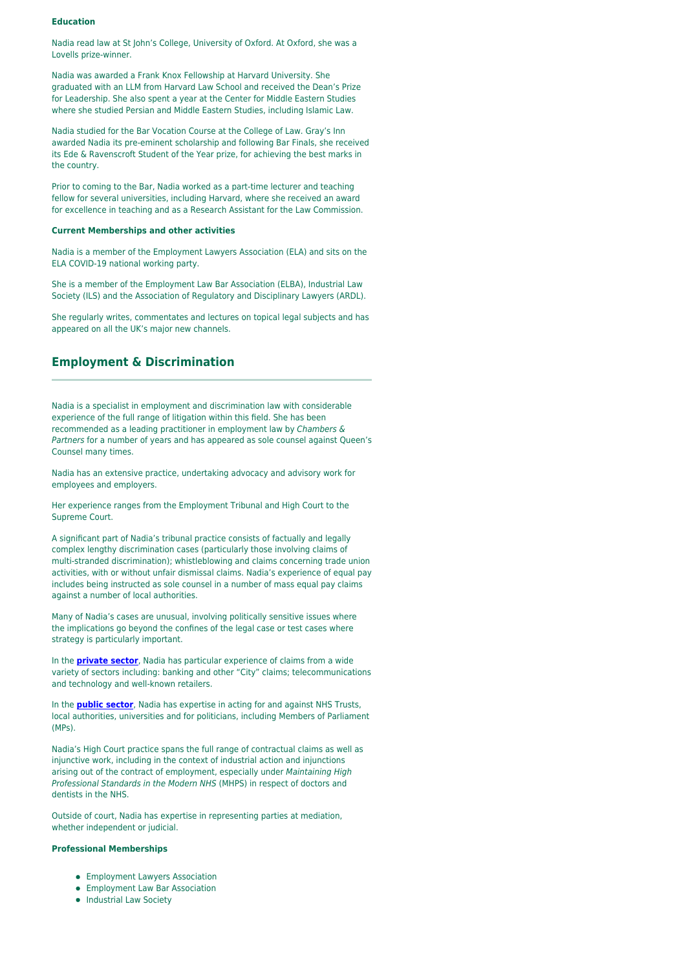#### **Education**

Nadia read law at St John's College, University of Oxford. At Oxford, she was a Lovells prize-winner.

Nadia was awarded a Frank Knox Fellowship at Harvard University. She graduated with an LLM from Harvard Law School and received the Dean's Prize for Leadership. She also spent a year at the Center for Middle Eastern Studies where she studied Persian and Middle Eastern Studies, including Islamic Law.

Nadia studied for the Bar Vocation Course at the College of Law. Gray's Inn awarded Nadia its pre-eminent scholarship and following Bar Finals, she received its Ede & Ravenscroft Student of the Year prize, for achieving the best marks in the country.

Prior to coming to the Bar, Nadia worked as a part-time lecturer and teaching fellow for several universities, including Harvard, where she received an award for excellence in teaching and as a Research Assistant for the Law Commission.

## **Current Memberships and other activities**

Nadia is a member of the Employment Lawyers Association (ELA) and sits on the ELA COVID-19 national working party.

She is a member of the Employment Law Bar Association (ELBA), Industrial Law Society (ILS) and the Association of Regulatory and Disciplinary Lawyers (ARDL).

She regularly writes, commentates and lectures on topical legal subjects and has appeared on all the UK's major new channels.

# **Employment & Discrimination**

Nadia is a specialist in employment and discrimination law with considerable experience of the full range of litigation within this field. She has been recommended as a leading practitioner in employment law by Chambers & Partners for a number of years and has appeared as sole counsel against Queen's Counsel many times.

Nadia has an extensive practice, undertaking advocacy and advisory work for employees and employers.

Her experience ranges from the Employment Tribunal and High Court to the Supreme Court.

A significant part of Nadia's tribunal practice consists of factually and legally complex lengthy discrimination cases (particularly those involving claims of multi-stranded discrimination); whistleblowing and claims concerning trade union activities, with or without unfair dismissal claims. Nadia's experience of equal pay includes being instructed as sole counsel in a number of mass equal pay claims against a number of local authorities.

Many of Nadia's cases are unusual, involving politically sensitive issues where the implications go beyond the confines of the legal case or test cases where strategy is particularly important.

In the **[private sector](http://www.oldsquare.co.uk/our-sectors)**, Nadia has particular experience of claims from a wide variety of sectors including: banking and other "City" claims; telecommunications and technology and well-known retailers.

In the **[public sector](http://www.oldsquare.co.uk/our-sectors/public-sector)**, Nadia has expertise in acting for and against NHS Trusts, local authorities, universities and for politicians, including Members of Parliament (MPs).

Nadia's High Court practice spans the full range of contractual claims as well as injunctive work, including in the context of industrial action and injunctions arising out of the contract of employment, especially under Maintaining High Professional Standards in the Modern NHS (MHPS) in respect of doctors and dentists in the NHS.

Outside of court, Nadia has expertise in representing parties at mediation, whether independent or judicial.

## **Professional Memberships**

- **•** Employment Lawyers Association
- **•** Employment Law Bar Association
- Industrial Law Society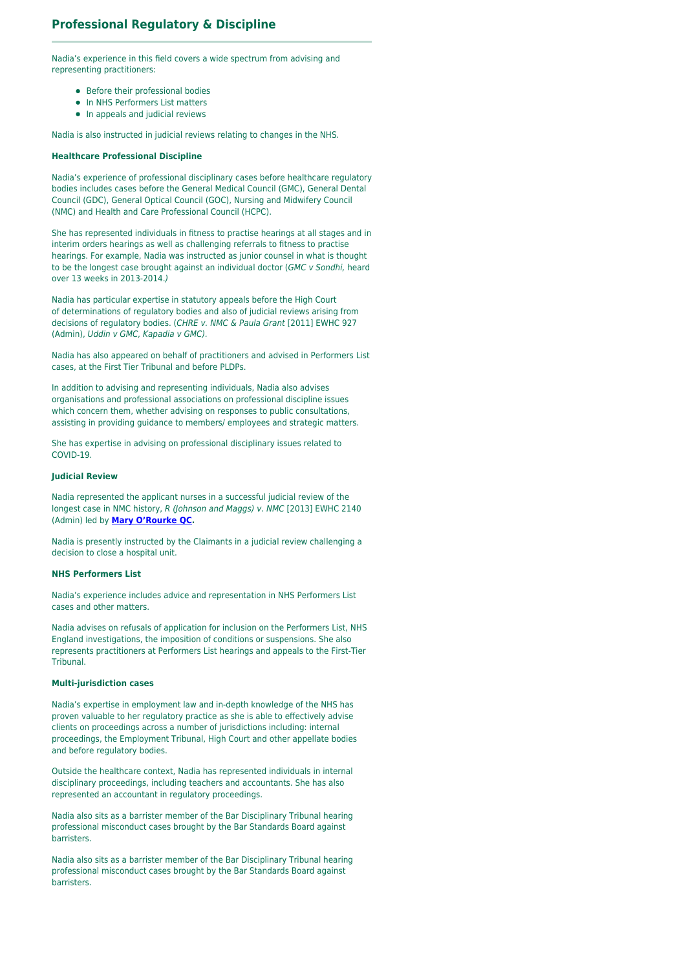# **Professional Regulatory & Discipline**

Nadia's experience in this field covers a wide spectrum from advising and representing practitioners:

- Before their professional bodies
- In NHS Performers List matters
- In appeals and judicial reviews

Nadia is also instructed in judicial reviews relating to changes in the NHS.

#### **Healthcare Professional Discipline**

Nadia's experience of professional disciplinary cases before healthcare regulatory bodies includes cases before the General Medical Council (GMC), General Dental Council (GDC), General Optical Council (GOC), Nursing and Midwifery Council (NMC) and Health and Care Professional Council (HCPC).

She has represented individuals in fitness to practise hearings at all stages and in interim orders hearings as well as challenging referrals to fitness to practise hearings. For example, Nadia was instructed as junior counsel in what is thought to be the longest case brought against an individual doctor (GMC v Sondhi, heard over 13 weeks in 2013-2014.)

Nadia has particular expertise in statutory appeals before the High Court of determinations of regulatory bodies and also of judicial reviews arising from decisions of regulatory bodies. (CHRE v. NMC & Paula Grant [2011] EWHC 927 (Admin), Uddin v GMC, Kapadia v GMC).

Nadia has also appeared on behalf of practitioners and advised in Performers List cases, at the First Tier Tribunal and before PLDPs.

In addition to advising and representing individuals, Nadia also advises organisations and professional associations on professional discipline issues which concern them, whether advising on responses to public consultations, assisting in providing guidance to members/ employees and strategic matters.

She has expertise in advising on professional disciplinary issues related to COVID-19.

## **Judicial Review**

Nadia represented the applicant nurses in a successful judicial review of the longest case in NMC history, R (Johnson and Maggs) v. NMC [2013] EWHC 2140 (Admin) led by **[Mary O'Rourke QC.](https://oldsquare.co.uk/people/mary-orourke-qc/)**

Nadia is presently instructed by the Claimants in a judicial review challenging a decision to close a hospital unit.

### **NHS Performers List**

Nadia's experience includes advice and representation in NHS Performers List cases and other matters.

Nadia advises on refusals of application for inclusion on the Performers List, NHS England investigations, the imposition of conditions or suspensions. She also represents practitioners at Performers List hearings and appeals to the First-Tier Tribunal.

## **Multi-jurisdiction cases**

Nadia's expertise in employment law and in-depth knowledge of the NHS has proven valuable to her regulatory practice as she is able to effectively advise clients on proceedings across a number of jurisdictions including: internal proceedings, the Employment Tribunal, High Court and other appellate bodies and before regulatory bodies.

Outside the healthcare context, Nadia has represented individuals in internal disciplinary proceedings, including teachers and accountants. She has also represented an accountant in regulatory proceedings.

Nadia also sits as a barrister member of the Bar Disciplinary Tribunal hearing professional misconduct cases brought by the Bar Standards Board against barristers.

Nadia also sits as a barrister member of the Bar Disciplinary Tribunal hearing professional misconduct cases brought by the Bar Standards Board against barristers.